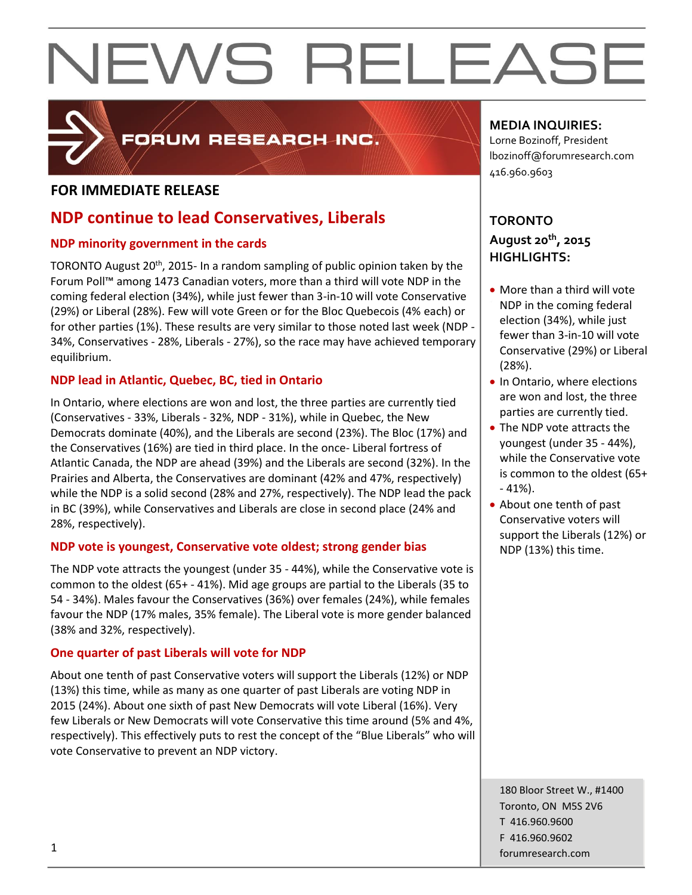

### FORUM RESEARCH INC.

#### **FOR IMMEDIATE RELEASE**

### **NDP continue to lead Conservatives, Liberals**

#### **NDP minority government in the cards**

TORONTO August 20<sup>th</sup>, 2015- In a random sampling of public opinion taken by the Forum Poll™ among 1473 Canadian voters, more than a third will vote NDP in the coming federal election (34%), while just fewer than 3-in-10 will vote Conservative (29%) or Liberal (28%). Few will vote Green or for the Bloc Quebecois (4% each) or for other parties (1%). These results are very similar to those noted last week (NDP - 34%, Conservatives - 28%, Liberals - 27%), so the race may have achieved temporary equilibrium.

#### **NDP lead in Atlantic, Quebec, BC, tied in Ontario**

In Ontario, where elections are won and lost, the three parties are currently tied (Conservatives - 33%, Liberals - 32%, NDP - 31%), while in Quebec, the New Democrats dominate (40%), and the Liberals are second (23%). The Bloc (17%) and the Conservatives (16%) are tied in third place. In the once- Liberal fortress of Atlantic Canada, the NDP are ahead (39%) and the Liberals are second (32%). In the Prairies and Alberta, the Conservatives are dominant (42% and 47%, respectively) while the NDP is a solid second (28% and 27%, respectively). The NDP lead the pack in BC (39%), while Conservatives and Liberals are close in second place (24% and 28%, respectively).

#### **NDP vote is youngest, Conservative vote oldest; strong gender bias**

The NDP vote attracts the youngest (under 35 - 44%), while the Conservative vote is common to the oldest (65+ - 41%). Mid age groups are partial to the Liberals (35 to 54 - 34%). Males favour the Conservatives (36%) over females (24%), while females favour the NDP (17% males, 35% female). The Liberal vote is more gender balanced (38% and 32%, respectively).

#### **One quarter of past Liberals will vote for NDP**

About one tenth of past Conservative voters will support the Liberals (12%) or NDP (13%) this time, while as many as one quarter of past Liberals are voting NDP in 2015 (24%). About one sixth of past New Democrats will vote Liberal (16%). Very few Liberals or New Democrats will vote Conservative this time around (5% and 4%, respectively). This effectively puts to rest the concept of the "Blue Liberals" who will vote Conservative to prevent an NDP victory.

#### **MEDIA INQUIRIES:**

Lorne Bozinoff, President lbozinoff@forumresearch.com 416.960.9603

#### **TORONTO August 20th, 2015 HIGHLIGHTS:**

- More than a third will vote NDP in the coming federal election (34%), while just fewer than 3-in-10 will vote Conservative (29%) or Liberal (28%).
- In Ontario, where elections are won and lost, the three parties are currently tied.
- The NDP vote attracts the youngest (under 35 - 44%), while the Conservative vote is common to the oldest (65+ - 41%).
- About one tenth of past Conservative voters will support the Liberals (12%) or NDP (13%) this time.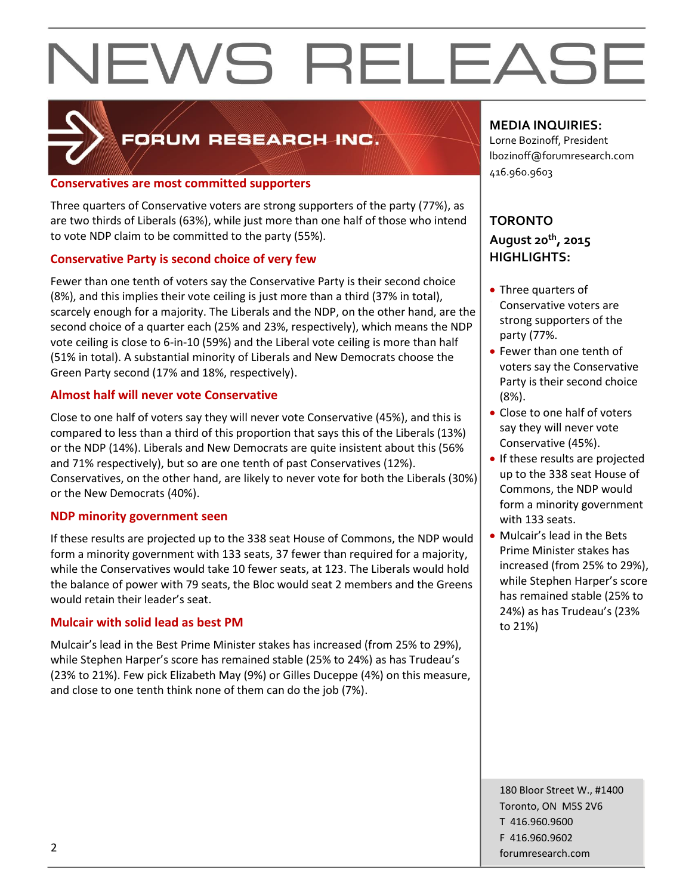

### FORUM RESEARCH INC.

#### **Conservatives are most committed supporters**

Three quarters of Conservative voters are strong supporters of the party (77%), as are two thirds of Liberals (63%), while just more than one half of those who intend to vote NDP claim to be committed to the party (55%).

#### **Conservative Party is second choice of very few**

Fewer than one tenth of voters say the Conservative Party is their second choice (8%), and this implies their vote ceiling is just more than a third (37% in total), scarcely enough for a majority. The Liberals and the NDP, on the other hand, are the second choice of a quarter each (25% and 23%, respectively), which means the NDP vote ceiling is close to 6-in-10 (59%) and the Liberal vote ceiling is more than half (51% in total). A substantial minority of Liberals and New Democrats choose the Green Party second (17% and 18%, respectively).

#### **Almost half will never vote Conservative**

Close to one half of voters say they will never vote Conservative (45%), and this is compared to less than a third of this proportion that says this of the Liberals (13%) or the NDP (14%). Liberals and New Democrats are quite insistent about this (56% and 71% respectively), but so are one tenth of past Conservatives (12%). Conservatives, on the other hand, are likely to never vote for both the Liberals (30%) or the New Democrats (40%).

#### **NDP minority government seen**

If these results are projected up to the 338 seat House of Commons, the NDP would form a minority government with 133 seats, 37 fewer than required for a majority, while the Conservatives would take 10 fewer seats, at 123. The Liberals would hold the balance of power with 79 seats, the Bloc would seat 2 members and the Greens would retain their leader's seat.

#### **Mulcair with solid lead as best PM**

Mulcair's lead in the Best Prime Minister stakes has increased (from 25% to 29%), while Stephen Harper's score has remained stable (25% to 24%) as has Trudeau's (23% to 21%). Few pick Elizabeth May (9%) or Gilles Duceppe (4%) on this measure, and close to one tenth think none of them can do the job (7%).

#### **MEDIA INQUIRIES:**

Lorne Bozinoff, President lbozinoff@forumresearch.com 416.960.9603

#### **TORONTO August 20th, 2015 HIGHLIGHTS:**

- Three quarters of Conservative voters are strong supporters of the party (77%.
- Fewer than one tenth of voters say the Conservative Party is their second choice (8%).
- Close to one half of voters say they will never vote Conservative (45%).
- If these results are projected up to the 338 seat House of Commons, the NDP would form a minority government with 133 seats.
- Mulcair's lead in the Bets Prime Minister stakes has increased (from 25% to 29%), while Stephen Harper's score has remained stable (25% to 24%) as has Trudeau's (23% to 21%)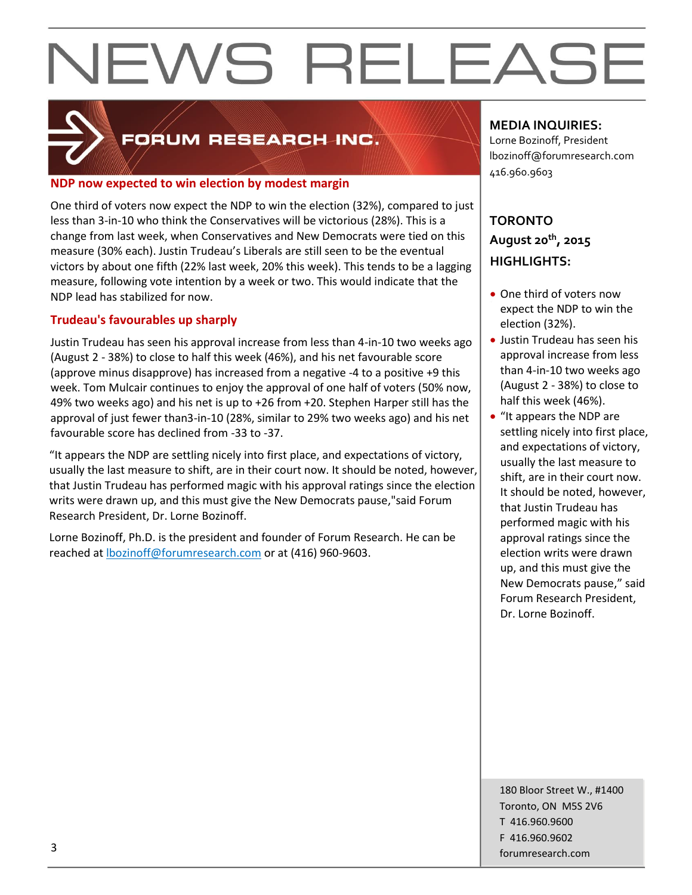

### FORUM RESEARCH INC.

#### **NDP now expected to win election by modest margin**

One third of voters now expect the NDP to win the election (32%), compared to just less than 3-in-10 who think the Conservatives will be victorious (28%). This is a change from last week, when Conservatives and New Democrats were tied on this measure (30% each). Justin Trudeau's Liberals are still seen to be the eventual victors by about one fifth (22% last week, 20% this week). This tends to be a lagging measure, following vote intention by a week or two. This would indicate that the NDP lead has stabilized for now.

#### **Trudeau's favourables up sharply**

Justin Trudeau has seen his approval increase from less than 4-in-10 two weeks ago (August 2 - 38%) to close to half this week (46%), and his net favourable score (approve minus disapprove) has increased from a negative -4 to a positive +9 this week. Tom Mulcair continues to enjoy the approval of one half of voters (50% now, 49% two weeks ago) and his net is up to +26 from +20. Stephen Harper still has the approval of just fewer than3-in-10 (28%, similar to 29% two weeks ago) and his net favourable score has declined from -33 to -37.

"It appears the NDP are settling nicely into first place, and expectations of victory, usually the last measure to shift, are in their court now. It should be noted, however, that Justin Trudeau has performed magic with his approval ratings since the election writs were drawn up, and this must give the New Democrats pause,"said Forum Research President, Dr. Lorne Bozinoff.

Lorne Bozinoff, Ph.D. is the president and founder of Forum Research. He can be reached at [lbozinoff@forumresearch.com](mailto:lbozinoff@forumresearch.com) or at (416) 960-9603.

#### **MEDIA INQUIRIES:**

Lorne Bozinoff, President lbozinoff@forumresearch.com 416.960.9603

### **TORONTO August 20th, 2015 HIGHLIGHTS:**

- One third of voters now expect the NDP to win the election (32%).
- Justin Trudeau has seen his approval increase from less than 4-in-10 two weeks ago (August 2 - 38%) to close to half this week (46%).
- "It appears the NDP are settling nicely into first place, and expectations of victory, usually the last measure to shift, are in their court now. It should be noted, however, that Justin Trudeau has performed magic with his approval ratings since the election writs were drawn up, and this must give the New Democrats pause," said Forum Research President, Dr. Lorne Bozinoff.

180 Bloor Street W., #1400 Toronto, ON M5S 2V6 T 416.960.9600 F 416.960.9602 forumresearch.com and the set of the set of the set of the set of the set of the set of the set of the set of the set of the set of the set of the set of the set of the set of the set of the set of the set of the set of th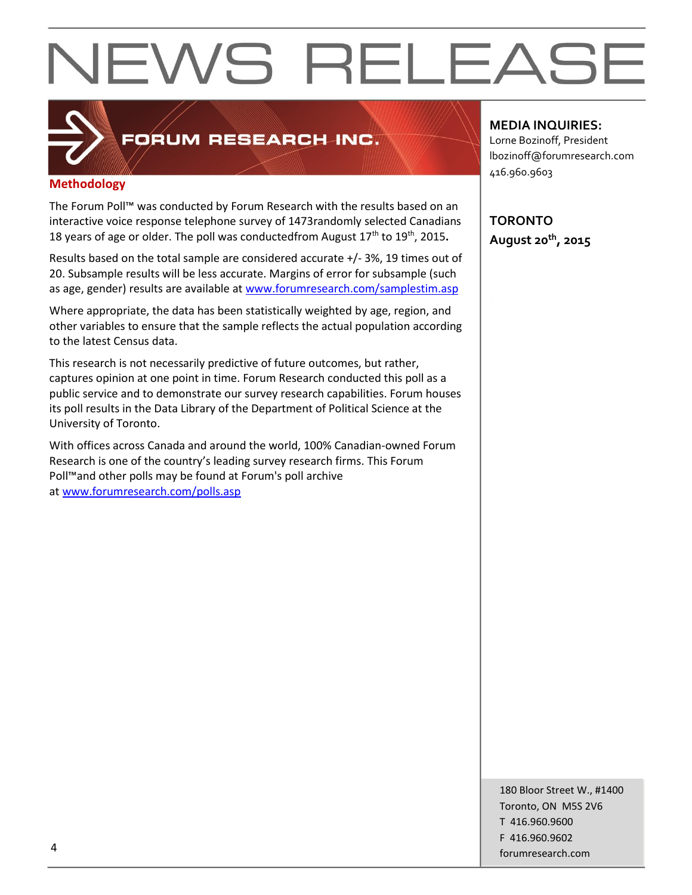

### FORUM RESEARCH INC.

#### **Methodology**

The Forum Poll™ was conducted by Forum Research with the results based on an interactive voice response telephone survey of 1473randomly selected Canadians 18 years of age or older. The poll was conductedfrom August 17<sup>th</sup> to 19<sup>th</sup>, 2015.

Results based on the total sample are considered accurate +/- 3%, 19 times out of 20. Subsample results will be less accurate. Margins of error for subsample (such as age, gender) results are available at [www.forumresearch.com/samplestim.asp](http://www.forumresearch.com/samplestim.asp)

Where appropriate, the data has been statistically weighted by age, region, and other variables to ensure that the sample reflects the actual population according to the latest Census data.

This research is not necessarily predictive of future outcomes, but rather, captures opinion at one point in time. Forum Research conducted this poll as a public service and to demonstrate our survey research capabilities. Forum houses its poll results in the Data Library of the Department of Political Science at the University of Toronto.

With offices across Canada and around the world, 100% Canadian-owned Forum Research is one of the country's leading survey research firms. This Forum Poll™and other polls may be found at Forum's poll archive at [www.forumresearch.com/polls.asp](http://www.forumresearch.com/polls.asp)

#### **MEDIA INQUIRIES:**

Lorne Bozinoff, President lbozinoff@forumresearch.com 416.960.9603

**TORONTO August 20th, 2015**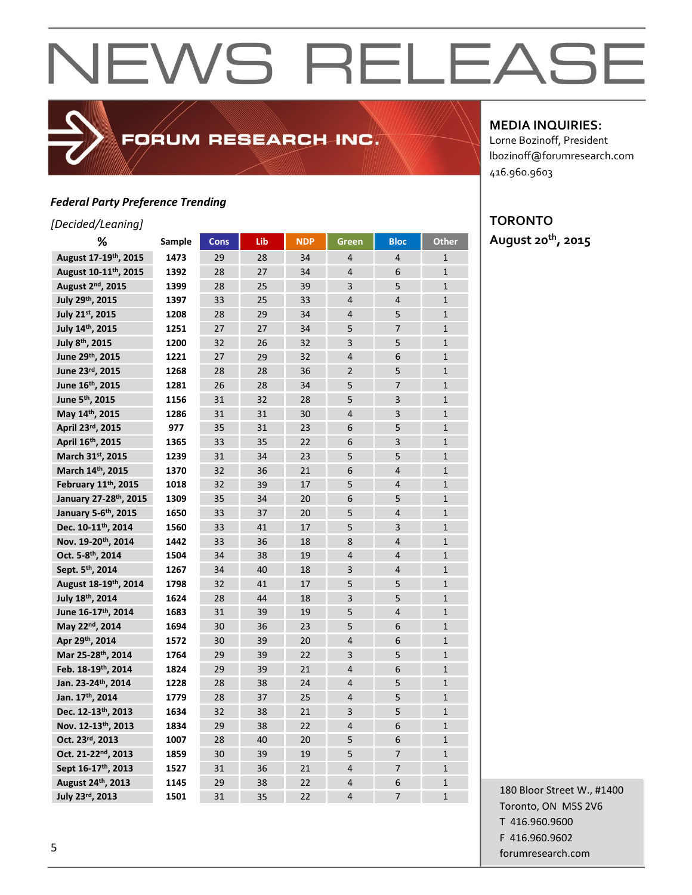#### *Federal Party Preference Trending*

#### *[Decided/Leaning]*

| %                                 | Sample | <b>Cons</b> | Lib | <b>NDP</b> | Green          | <b>Bloc</b>    | Other          |
|-----------------------------------|--------|-------------|-----|------------|----------------|----------------|----------------|
| August 17-19 <sup>th</sup> , 2015 | 1473   | 29          | 28  | 34         | $\overline{4}$ | $\overline{4}$ | $\mathbf{1}$   |
| August 10-11 <sup>th</sup> , 2015 | 1392   | 28          | 27  | 34         | $\overline{4}$ | 6              | $\overline{1}$ |
| August 2 <sup>nd</sup> , 2015     | 1399   | 28          | 25  | 39         | 3              | 5              | $\mathbf{1}$   |
| July 29th, 2015                   | 1397   | 33          | 25  | 33         | $\overline{4}$ | $\overline{4}$ | $\mathbf{1}$   |
| July 21st, 2015                   | 1208   | 28          | 29  | 34         | $\overline{4}$ | 5              | $\mathbf{1}$   |
| July 14th, 2015                   | 1251   | 27          | 27  | 34         | 5              | $\overline{7}$ | $\mathbf{1}$   |
| July 8th, 2015                    | 1200   | 32          | 26  | 32         | $\overline{3}$ | 5              | $\mathbf{1}$   |
| June 29th, 2015                   | 1221   | 27          | 29  | 32         | $\overline{4}$ | 6              | $\mathbf{1}$   |
| June 23rd, 2015                   | 1268   | 28          | 28  | 36         | $\overline{2}$ | 5              | $\mathbf{1}$   |
| June 16th, 2015                   | 1281   | 26          | 28  | 34         | 5              | 7              | $\mathbf{1}$   |
| June 5 <sup>th</sup> , 2015       | 1156   | 31          | 32  | 28         | 5              | 3              | $\mathbf{1}$   |
| May 14th, 2015                    | 1286   | 31          | 31  | 30         | $\overline{4}$ | 3              | $\mathbf{1}$   |
| April 23rd, 2015                  | 977    | 35          | 31  | 23         | 6              | 5              | $\mathbf{1}$   |
| April 16th, 2015                  | 1365   | 33          | 35  | 22         | 6              | 3              | $\mathbf{1}$   |
| March 31 <sup>st</sup> , 2015     | 1239   | 31          | 34  | 23         | 5              | 5              | $\mathbf{1}$   |
| March 14th, 2015                  | 1370   | 32          | 36  | 21         | 6              | $\overline{4}$ | $\overline{1}$ |
| February 11th, 2015               | 1018   | 32          | 39  | 17         | 5              | $\overline{4}$ | $\mathbf{1}$   |
| January 27-28th, 2015             | 1309   | 35          | 34  | 20         | 6              | 5              | $\mathbf{1}$   |
| January 5-6th, 2015               | 1650   | 33          | 37  | 20         | 5              | $\overline{4}$ | $\mathbf{1}$   |
| Dec. 10-11th, 2014                | 1560   | 33          | 41  | 17         | 5              | $\overline{3}$ | $\mathbf{1}$   |
| Nov. 19-20th, 2014                | 1442   | 33          | 36  | 18         | 8              | $\overline{4}$ | $\mathbf{1}$   |
| Oct. 5-8th, 2014                  | 1504   | 34          | 38  | 19         | $\overline{4}$ | $\overline{4}$ | $\mathbf{1}$   |
| Sept. 5 <sup>th</sup> , 2014      | 1267   | 34          | 40  | 18         | 3              | $\overline{4}$ | $\mathbf{1}$   |
| August 18-19 <sup>th</sup> , 2014 | 1798   | 32          | 41  | 17         | 5              | 5              | $\mathbf{1}$   |
| July 18th, 2014                   | 1624   | 28          | 44  | 18         | 3              | 5              | $\mathbf{1}$   |
| June 16-17th, 2014                | 1683   | 31          | 39  | 19         | 5              | $\overline{4}$ | $\mathbf{1}$   |
| May 22nd, 2014                    | 1694   | 30          | 36  | 23         | 5              | 6              | $\mathbf{1}$   |
| Apr 29th, 2014                    | 1572   | 30          | 39  | 20         | $\overline{4}$ | 6              | $\mathbf{1}$   |
| Mar 25-28th, 2014                 | 1764   | 29          | 39  | 22         | 3              | 5              | $\mathbf{1}$   |
| Feb. 18-19th, 2014                | 1824   | 29          | 39  | 21         | $\overline{4}$ | 6              | $\mathbf{1}$   |
| Jan. 23-24th, 2014                | 1228   | 28          | 38  | 24         | $\overline{4}$ | 5              | $\mathbf{1}$   |
| Jan. 17th, 2014                   | 1779   | 28          | 37  | 25         | $\overline{4}$ | 5              | $\mathbf{1}$   |
| Dec. 12-13th, 2013                | 1634   | 32          | 38  | 21         | 3              | 5              | $\mathbf{1}$   |
| Nov. 12-13th, 2013                | 1834   | 29          | 38  | 22         | $\overline{4}$ | 6              | $\mathbf{1}$   |
| Oct. 23rd, 2013                   | 1007   | 28          | 40  | 20         | 5              | 6              | $\mathbf{1}$   |
| Oct. 21-22 <sup>nd</sup> , 2013   | 1859   | 30          | 39  | 19         | 5              | $\overline{7}$ | $\mathbf{1}$   |
| Sept 16-17th, 2013                | 1527   | 31          | 36  | 21         | $\overline{4}$ | $\overline{7}$ | $\mathbf{1}$   |
| August 24th, 2013                 | 1145   | 29          | 38  | 22         | $\overline{4}$ | 6              | $\mathbf{1}$   |
| July 23rd, 2013                   | 1501   | 31          | 35  | 22         | $\overline{4}$ | $\overline{7}$ | $\overline{1}$ |

FORUM RESEARCH INC.

#### **MEDIA INQUIRIES:**

Lorne Bozinoff, President lbozinoff@forumresearch.com 416.960.9603

### **TORONTO**

**August 20th, 2015**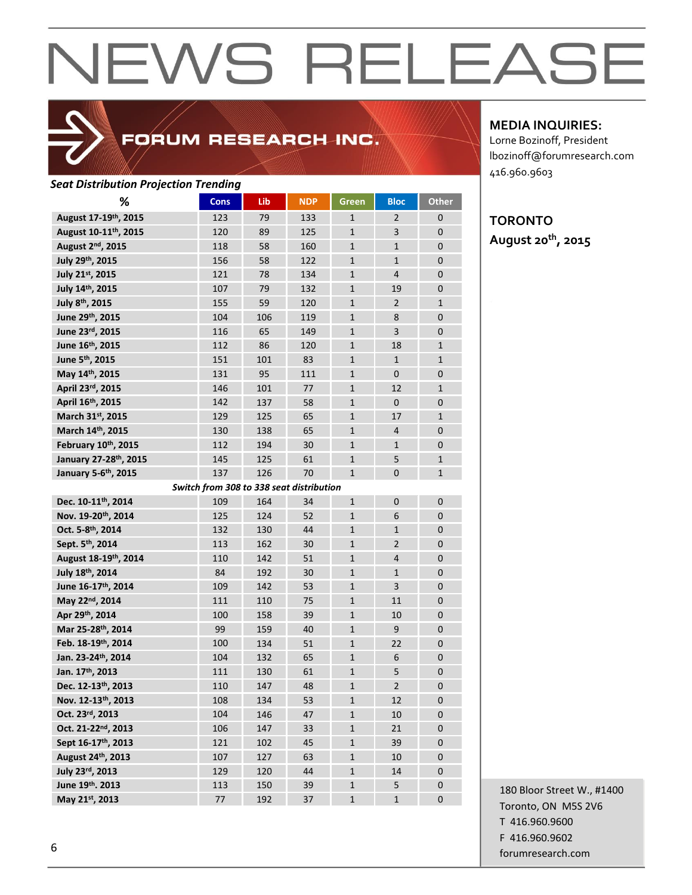

### FORUM RESEARCH INC.

#### *Seat Distribution Projection Trending*

| %                                 | <b>Cons</b>                              | Lib | <b>NDP</b> | <b>Green</b> | <b>Bloc</b>    | <b>Other</b> |
|-----------------------------------|------------------------------------------|-----|------------|--------------|----------------|--------------|
| August 17-19th, 2015              | 123                                      | 79  | 133        | $\mathbf{1}$ | 2              | 0            |
| August 10-11 <sup>th</sup> , 2015 | 120                                      | 89  | 125        | $\mathbf{1}$ | 3              | $\mathbf{0}$ |
| August 2 <sup>nd</sup> , 2015     | 118                                      | 58  | 160        | $\mathbf{1}$ | $\mathbf{1}$   | 0            |
| July 29th, 2015                   | 156                                      | 58  | 122        | $\mathbf{1}$ | $\mathbf{1}$   | $\mathbf{0}$ |
| July 21st, 2015                   | 121                                      | 78  | 134        | $\mathbf{1}$ | $\overline{4}$ | $\mathbf{0}$ |
| July 14th, 2015                   | 107                                      | 79  | 132        | $\mathbf{1}$ | 19             | $\mathbf{0}$ |
| July 8th, 2015                    | 155                                      | 59  | 120        | $\mathbf{1}$ | $\overline{2}$ | $\mathbf{1}$ |
| June 29th, 2015                   | 104                                      | 106 | 119        | $\mathbf{1}$ | 8              | 0            |
| June 23rd, 2015                   | 116                                      | 65  | 149        | $\mathbf{1}$ | 3              | 0            |
| June 16th, 2015                   | 112                                      | 86  | 120        | $\mathbf{1}$ | 18             | $\mathbf{1}$ |
| June 5th, 2015                    | 151                                      | 101 | 83         | $\mathbf{1}$ | $\mathbf{1}$   | $\mathbf{1}$ |
| May 14th, 2015                    | 131                                      | 95  | 111        | $\mathbf{1}$ | $\mathbf{0}$   | $\mathbf{0}$ |
| April 23rd, 2015                  | 146                                      | 101 | 77         | $\mathbf{1}$ | 12             | $\mathbf{1}$ |
| April 16th, 2015                  | 142                                      | 137 | 58         | $\mathbf{1}$ | $\Omega$       | $\mathbf{0}$ |
| March 31st, 2015                  | 129                                      | 125 | 65         | $\mathbf{1}$ | 17             | $\mathbf{1}$ |
| March 14th, 2015                  | 130                                      | 138 | 65         | $\mathbf{1}$ | 4              | $\mathbf{0}$ |
| February 10th, 2015               | 112                                      | 194 | 30         | $\mathbf{1}$ | $\mathbf{1}$   | $\mathbf{0}$ |
| January 27-28th, 2015             | 145                                      | 125 | 61         | $\mathbf{1}$ | 5              | $\mathbf{1}$ |
| January 5-6 <sup>th</sup> , 2015  | 137                                      | 126 | 70         | $\mathbf{1}$ | $\Omega$       | $\mathbf{1}$ |
|                                   | Switch from 308 to 338 seat distribution |     |            |              |                |              |
| Dec. 10-11th, 2014                | 109                                      | 164 | 34         | $\mathbf{1}$ | $\mathbf{0}$   | $\mathbf{0}$ |
| Nov. 19-20th, 2014                | 125                                      | 124 | 52         | $\mathbf{1}$ | 6              | $\mathbf{0}$ |
| Oct. 5-8th, 2014                  | 132                                      | 130 | 44         | $\mathbf{1}$ | $\mathbf{1}$   | $\mathbf{0}$ |
| Sept. 5th, 2014                   | 113                                      | 162 | 30         | $\mathbf{1}$ | $\overline{2}$ | $\mathbf{0}$ |
| August 18-19th, 2014              | 110                                      | 142 | 51         | $\mathbf{1}$ | $\overline{4}$ | $\mathbf{0}$ |
| July 18th, 2014                   | 84                                       | 192 | 30         | $\mathbf{1}$ | $\mathbf{1}$   | $\mathbf{0}$ |
| June 16-17th, 2014                | 109                                      | 142 | 53         | $\mathbf{1}$ | 3              | $\mathbf{0}$ |
| May 22nd, 2014                    | 111                                      | 110 | 75         | $\mathbf{1}$ | 11             | $\mathbf 0$  |
| Apr 29th, 2014                    | 100                                      | 158 | 39         | $\mathbf{1}$ | 10             | 0            |
| Mar 25-28th, 2014                 | 99                                       | 159 | 40         | $\mathbf{1}$ | 9              | 0            |
| Feb. 18-19th, 2014                | 100                                      | 134 | 51         | $\mathbf{1}$ | 22             | $\mathbf{0}$ |
| Jan. 23-24th, 2014                | 104                                      | 132 | 65         | $\mathbf{1}$ | 6              | $\mathbf{0}$ |
| Jan. 17th, 2013                   | 111                                      | 130 | 61         | $\mathbf{1}$ | 5              | $\mathbf 0$  |
| Dec. 12-13th, 2013                | 110                                      | 147 | 48         | $\mathbf{1}$ | $\overline{2}$ | $\mathbf 0$  |
| Nov. 12-13th, 2013                | 108                                      | 134 | 53         | 1            | 12             | 0            |
| Oct. 23rd, 2013                   | 104                                      | 146 | 47         | $\mathbf{1}$ | 10             | 0            |
| Oct. 21-22nd, 2013                | 106                                      | 147 | 33         | $\mathbf 1$  | 21             | $\pmb{0}$    |
| Sept 16-17th, 2013                | 121                                      | 102 | 45         | $\mathbf 1$  | 39             | $\mathbf 0$  |
| August 24th, 2013                 | 107                                      | 127 | 63         | $\mathbf{1}$ | 10             | $\mathbf 0$  |
| July 23rd, 2013                   | 129                                      | 120 | 44         | 1            | 14             | 0            |
| June 19th. 2013                   | 113                                      | 150 | 39         | 1            | 5              | 0            |
| May 21st, 2013                    | 77                                       | 192 | 37         | $\mathbf{1}$ | $\mathbf{1}$   | 0            |

**MEDIA INQUIRIES:**

Lorne Bozinoff, President lbozinoff@forumresearch.com 416.960.9603

#### **TORONTO August 20th, 2015**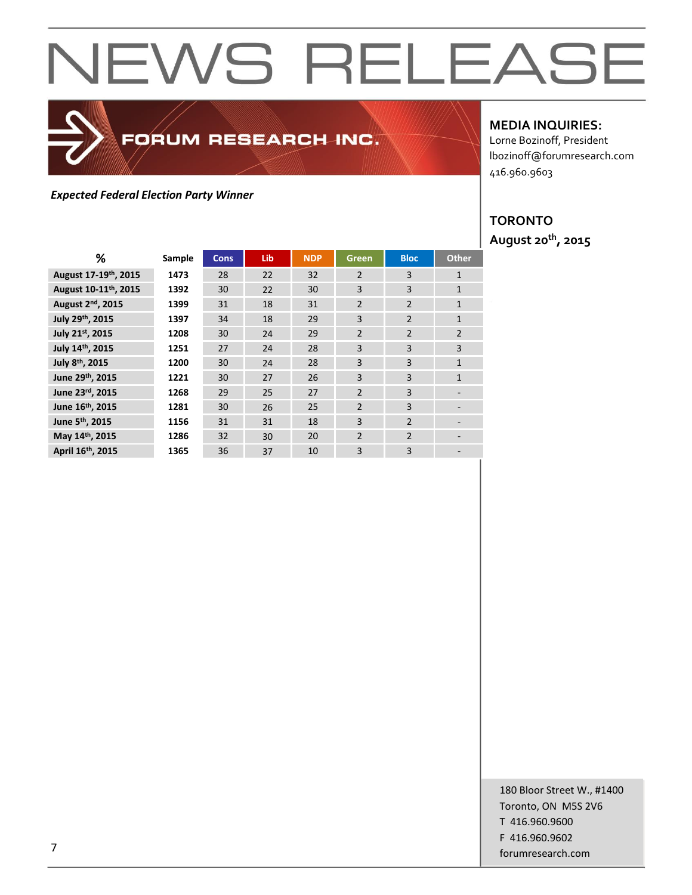## FORUM RESEARCH INC.

### *Expected Federal Election Party Winner*

#### **MEDIA INQUIRIES:**

Lorne Bozinoff, President lbozinoff@forumresearch.com 416.960.9603

#### **TORONTO August 20th, 2015**

| ℅                                 | Sample | <b>Cons</b> | Lib | <b>NDP</b> | Green          | <b>Bloc</b>    | <b>Other</b>             |
|-----------------------------------|--------|-------------|-----|------------|----------------|----------------|--------------------------|
| August 17-19th, 2015              | 1473   | 28          | 22  | 32         | $\overline{2}$ | 3              | $\mathbf{1}$             |
| August 10-11 <sup>th</sup> , 2015 | 1392   | 30          | 22  | 30         | 3              | 3              | $\mathbf{1}$             |
| August 2 <sup>nd</sup> , 2015     | 1399   | 31          | 18  | 31         | $\overline{2}$ | $\overline{2}$ | $\mathbf{1}$             |
| July 29th, 2015                   | 1397   | 34          | 18  | 29         | 3              | $\overline{2}$ | $\mathbf{1}$             |
| July 21st, 2015                   | 1208   | 30          | 24  | 29         | $\overline{2}$ | $\overline{2}$ | $\overline{2}$           |
| July 14th, 2015                   | 1251   | 27          | 24  | 28         | 3              | 3              | 3                        |
| July 8th, 2015                    | 1200   | 30          | 24  | 28         | 3              | 3              | $\mathbf{1}$             |
| June 29th, 2015                   | 1221   | 30          | 27  | 26         | 3              | 3              | $\mathbf{1}$             |
| June 23rd, 2015                   | 1268   | 29          | 25  | 27         | $\overline{2}$ | 3              |                          |
| June 16th, 2015                   | 1281   | 30          | 26  | 25         | $\overline{2}$ | 3              | $\overline{\phantom{a}}$ |
| June 5 <sup>th</sup> , 2015       | 1156   | 31          | 31  | 18         | $\overline{3}$ | $\overline{2}$ |                          |
| May 14th, 2015                    | 1286   | 32          | 30  | 20         | $\overline{2}$ | $\overline{2}$ |                          |
| April 16th, 2015                  | 1365   | 36          | 37  | 10         | 3              | 3              |                          |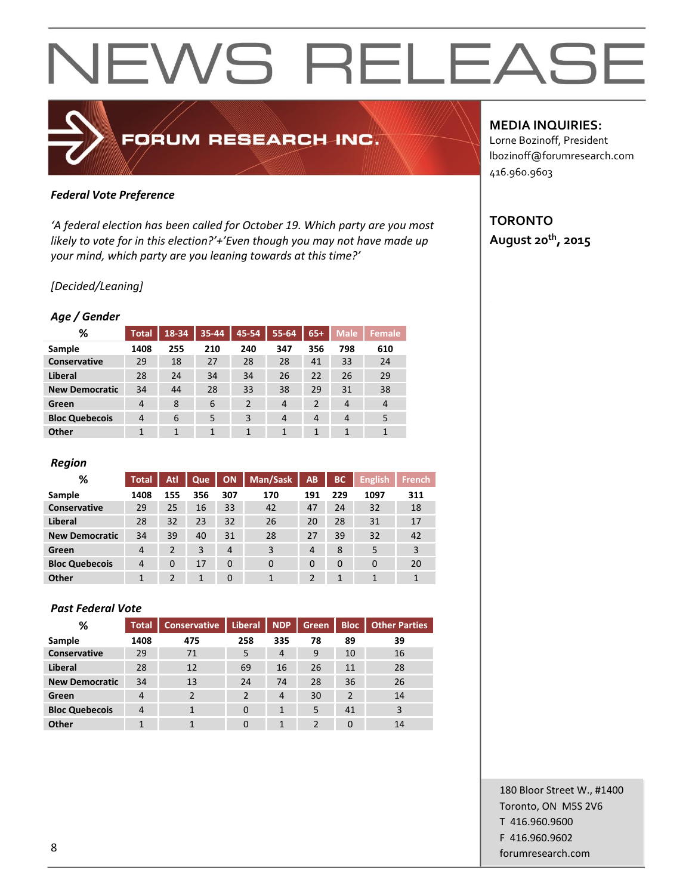### FORUM RESEARCH INC.

#### *Federal Vote Preference*

*'A federal election has been called for October 19. Which party are you most likely to vote for in this election?'+'Even though you may not have made up your mind, which party are you leaning towards at this time?'*

#### *[Decided/Leaning]*

#### *Age / Gender*

| %                     | <b>Total</b> | 18-34 | 35-44 | 45-54          | 55-64          | $65+$ | <b>Male</b>    | Female         |
|-----------------------|--------------|-------|-------|----------------|----------------|-------|----------------|----------------|
| Sample                | 1408         | 255   | 210   | 240            | 347            | 356   | 798            | 610            |
| Conservative          | 29           | 18    | 27    | 28             | 28             | 41    | 33             | 24             |
| Liberal               | 28           | 24    | 34    | 34             | 26             | 22    | 26             | 29             |
| <b>New Democratic</b> | 34           | 44    | 28    | 33             | 38             | 29    | 31             | 38             |
| Green                 | 4            | 8     | 6     | $\overline{2}$ | $\overline{4}$ | 2     | $\overline{4}$ | $\overline{4}$ |
| <b>Bloc Quebecois</b> | 4            | 6     | 5     | 3              | 4              | 4     | 4              | 5              |
| Other                 | 1            | 1     | 1     | $\mathbf{1}$   | 1              | 1     | 1              |                |

#### *Region*

| %                     | <b>Total</b>   | Atl      | Que | <b>ON</b> | Man/Sask | <b>AB</b>      | <b>BC</b> | <b>English</b> | <b>French</b> |
|-----------------------|----------------|----------|-----|-----------|----------|----------------|-----------|----------------|---------------|
| Sample                | 1408           | 155      | 356 | 307       | 170      | 191            | 229       | 1097           | 311           |
| <b>Conservative</b>   | 29             | 25       | 16  | 33        | 42       | 47             | 24        | 32             | 18            |
| Liberal               | 28             | 32       | 23  | 32        | 26       | 20             | 28        | 31             | 17            |
| <b>New Democratic</b> | 34             | 39       | 40  | 31        | 28       | 27             | 39        | 32             | 42            |
| Green                 | $\overline{4}$ | 2        | 3   | 4         | 3        | $\overline{4}$ | 8         | 5              | 3             |
| <b>Bloc Quebecois</b> | $\overline{4}$ | $\Omega$ | 17  | 0         | $\Omega$ | $\Omega$       | 0         | $\Omega$       | 20            |
| Other                 | 1              | 2        | 1   | 0         | 1        |                | 1         |                |               |

#### *Past Federal Vote*

| %                     | <b>Total</b> | <b>Conservative</b> | <b>Liberal</b> | <b>NDP</b>   | <b>Green</b>   | <b>Bloc</b>    | <b>Other Parties</b> |
|-----------------------|--------------|---------------------|----------------|--------------|----------------|----------------|----------------------|
| Sample                | 1408         | 475                 | 258            | 335          | 78             | 89             | 39                   |
| <b>Conservative</b>   | 29           | 71                  | 5              | 4            | 9              | 10             | 16                   |
| Liberal               | 28           | 12                  | 69             | 16           | 26             | 11             | 28                   |
| <b>New Democratic</b> | 34           | 13                  | 24             | 74           | 28             | 36             | 26                   |
| Green                 | 4            | 2                   | $\overline{2}$ | 4            | 30             | $\overline{2}$ | 14                   |
| <b>Bloc Quebecois</b> | 4            |                     | 0              | $\mathbf{1}$ | 5              | 41             | 3                    |
| Other                 | 1            |                     | 0              | 1            | $\mathfrak{p}$ | $\Omega$       | 14                   |

#### **MEDIA INQUIRIES:**

Lorne Bozinoff, President lbozinoff@forumresearch.com 416.960.9603

#### **TORONTO August 20th, 2015**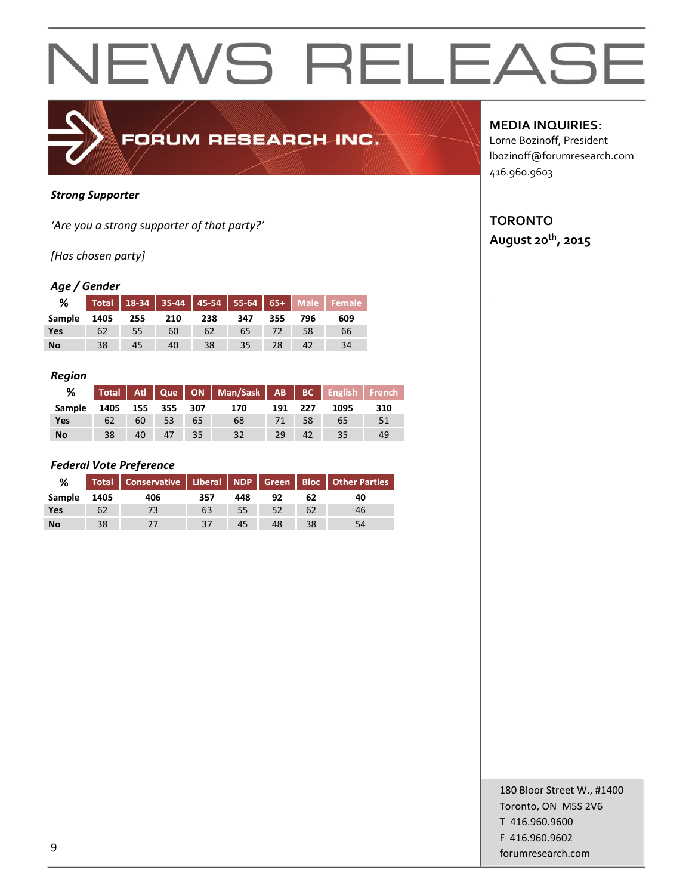

#### *Strong Supporter*

*'Are you a strong supporter of that party?'*

*[Has chosen party]*

#### *Age / Gender*

| ℅               |    |    |     |     |                 |      |         | Total 18-34 35-44 45-54 55-64 65+ Male Female |
|-----------------|----|----|-----|-----|-----------------|------|---------|-----------------------------------------------|
| Sample 1405 255 |    |    | 210 | 238 | 347             |      | 355 796 | 609                                           |
| <b>Yes</b>      | 62 | 55 | 60  | 62  | 65              | 4727 | 58      | 66                                            |
| <b>No</b>       | 38 | 45 | 40  | 38  | 35 <sub>1</sub> | 28   |         | 34                                            |

#### *Region*

| %          |      |      |             |    | Total Atl Que ON Man/Sask AB BC English French |     |       |      |     |
|------------|------|------|-------------|----|------------------------------------------------|-----|-------|------|-----|
| Sample     | 1405 |      | 155 355 307 |    | 170                                            | 191 | - 227 | 1095 | 310 |
| <b>Yes</b> | 62   | 60 l | 53          | 65 | 68                                             | 71  | 58    | 65   | 51  |
| <b>No</b>  | 38   | 40   |             | 35 | 32                                             | 29  | 42    | 35   | 49  |

#### *Federal Vote Preference*

| %         |      |     |     |     |    |    | Total   Conservative   Liberal   NDP   Green   Bloc   Other Parties |
|-----------|------|-----|-----|-----|----|----|---------------------------------------------------------------------|
| Sample    | 1405 | 406 | 357 | 448 | 92 | 62 | 40                                                                  |
| Yes       | 62   |     | 63  | 55  | 52 | 62 | 46                                                                  |
| <b>No</b> | 38   |     | 37  | 45  | 48 | 38 | 54                                                                  |

**MEDIA INQUIRIES:**

Lorne Bozinoff, President lbozinoff@forumresearch.com 416.960.9603

### **TORONTO**

**August 20th, 2015**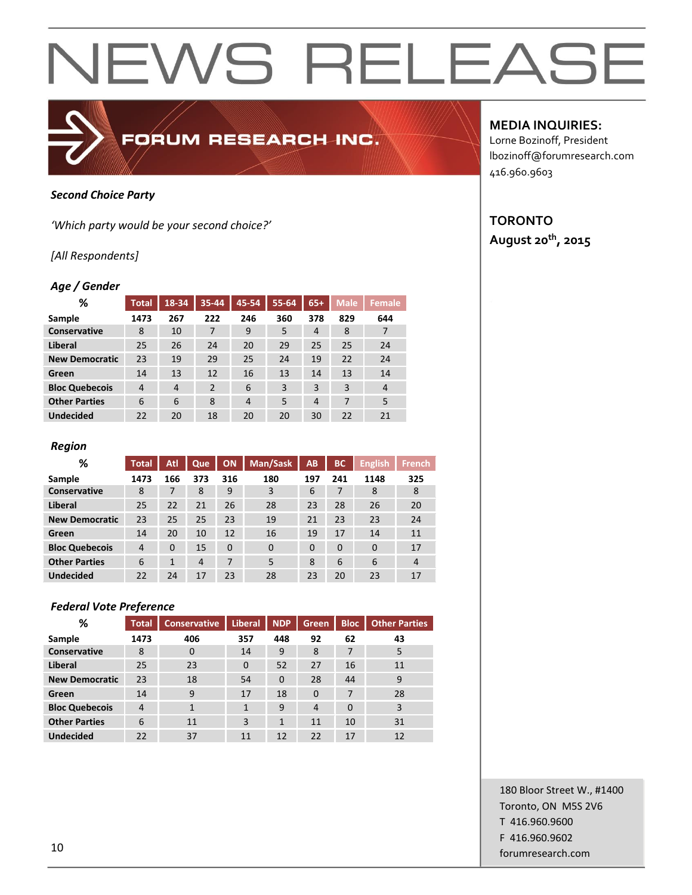#### *Second Choice Party*

*'Which party would be your second choice?'*

#### *[All Respondents]*

#### *Age / Gender*

| %                     | <b>Total</b>   | $18 - 34$      | 35-44          | 45-54          | 55-64 | $65+$          | <b>Male</b> | <b>Female</b> |
|-----------------------|----------------|----------------|----------------|----------------|-------|----------------|-------------|---------------|
| Sample                | 1473           | 267            | 222            | 246            | 360   | 378            | 829         | 644           |
| Conservative          | 8              | 10             | 7              | 9              | 5     | 4              | 8           | 7             |
| Liberal               | 25             | 26             | 24             | 20             | 29    | 25             | 25          | 24            |
| <b>New Democratic</b> | 23             | 19             | 29             | 25             | 24    | 19             | 22          | 24            |
| Green                 | 14             | 13             | 12             | 16             | 13    | 14             | 13          | 14            |
| <b>Bloc Quebecois</b> | $\overline{4}$ | $\overline{4}$ | $\overline{2}$ | 6              | 3     | 3              | 3           | 4             |
| <b>Other Parties</b>  | 6              | 6              | 8              | $\overline{4}$ | 5     | $\overline{4}$ | 7           | 5             |
| <b>Undecided</b>      | 22             | 20             | 18             | 20             | 20    | 30             | 22          | 21            |

FORUM RESEARCH INC.

#### *Region*

| ℅                     | <b>Total</b>   | Atl      | Que            | <b>ON</b> | Man/Sask | AB       | <b>BC</b> | <b>English</b> | <b>French</b>  |
|-----------------------|----------------|----------|----------------|-----------|----------|----------|-----------|----------------|----------------|
| Sample                | 1473           | 166      | 373            | 316       | 180      | 197      | 241       | 1148           | 325            |
| Conservative          | 8              |          | 8              | 9         | 3        | 6        |           | 8              | 8              |
| <b>Liberal</b>        | 25             | 22       | 21             | 26        | 28       | 23       | 28        | 26             | 20             |
| <b>New Democratic</b> | 23             | 25       | 25             | 23        | 19       | 21       | 23        | 23             | 24             |
| Green                 | 14             | 20       | 10             | 12        | 16       | 19       | 17        | 14             | 11             |
| <b>Bloc Quebecois</b> | $\overline{4}$ | $\Omega$ | 15             | $\Omega$  | $\Omega$ | $\Omega$ | $\Omega$  | $\Omega$       | 17             |
| <b>Other Parties</b>  | 6              | 1        | $\overline{4}$ | 7         | 5        | 8        | 6         | 6              | $\overline{4}$ |
| <b>Undecided</b>      | 22             | 24       | 17             | 23        | 28       | 23       | 20        | 23             | 17             |

#### *Federal Vote Preference*

| %                     | <b>Total</b>   | <b>Conservative</b> | <b>Liberal</b> | <b>NDP</b>   | <b>Green</b>   | <b>Bloc</b> | <b>Other Parties</b> |
|-----------------------|----------------|---------------------|----------------|--------------|----------------|-------------|----------------------|
| Sample                | 1473           | 406                 | 357            | 448          | 92             | 62          | 43                   |
| Conservative          | 8              | 0                   | 14             | 9            | 8              | 7           | 5                    |
| Liberal               | 25             | 23                  | $\Omega$       | 52           | 27             | 16          | 11                   |
| <b>New Democratic</b> | 23             | 18                  | 54             | $\Omega$     | 28             | 44          | 9                    |
| Green                 | 14             | 9                   | 17             | 18           | $\Omega$       | 7           | 28                   |
| <b>Bloc Quebecois</b> | $\overline{4}$ | 1                   | $\mathbf{1}$   | 9            | $\overline{4}$ | $\Omega$    | 3                    |
| <b>Other Parties</b>  | 6              | 11                  | 3              | $\mathbf{1}$ | 11             | 10          | 31                   |
| <b>Undecided</b>      | 22             | 37                  | 11             | 12           | 22             | 17          | 12                   |

#### **MEDIA INQUIRIES:**

Lorne Bozinoff, President lbozinoff@forumresearch.com 416.960.9603

#### **TORONTO August 20th, 2015**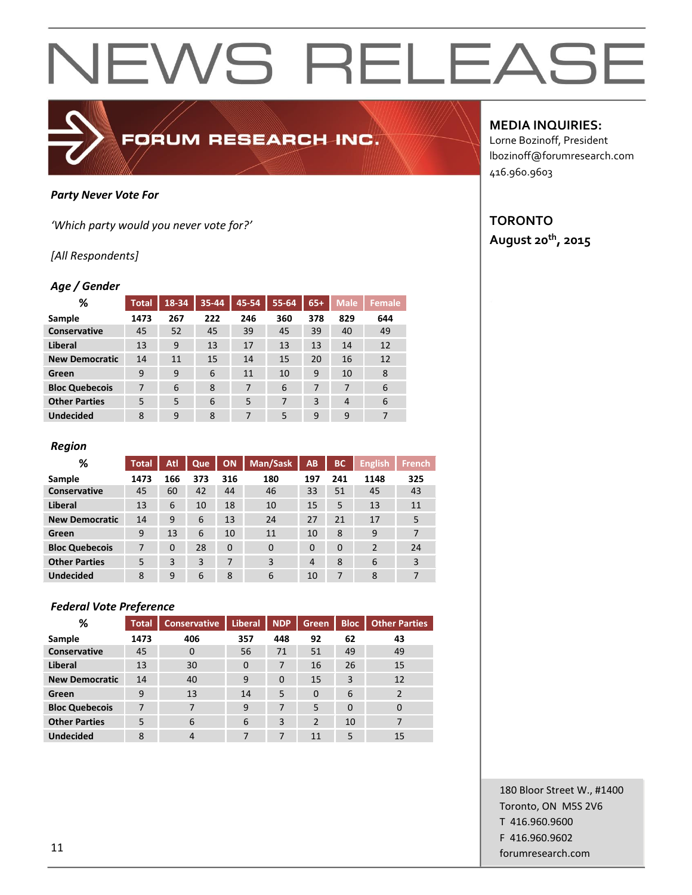

#### *Party Never Vote For*

*'Which party would you never vote for?'*

#### *[All Respondents]*

#### *Age / Gender*

| %                     | <b>Total</b> | 18-34 | 35-44 | 45-54 | 55-64 | $65+$ | <b>Male</b> | Female |
|-----------------------|--------------|-------|-------|-------|-------|-------|-------------|--------|
| Sample                | 1473         | 267   | 222   | 246   | 360   | 378   | 829         | 644    |
| Conservative          | 45           | 52    | 45    | 39    | 45    | 39    | 40          | 49     |
| Liberal               | 13           | 9     | 13    | 17    | 13    | 13    | 14          | 12     |
| <b>New Democratic</b> | 14           | 11    | 15    | 14    | 15    | 20    | 16          | 12     |
| Green                 | 9            | 9     | 6     | 11    | 10    | 9     | 10          | 8      |
| <b>Bloc Quebecois</b> | 7            | 6     | 8     | 7     | 6     | 7     | 7           | 6      |
| <b>Other Parties</b>  | 5            | 5     | 6     | 5     | 7     | 3     | 4           | 6      |
| <b>Undecided</b>      | 8            | 9     | 8     | 7     | 5     | 9     | 9           | 7      |

#### *Region*

| %                     | <b>Total</b> | Atl      | Que | <b>ON</b> | Man/Sask | <b>AB</b>      | <b>BC</b> | <b>English</b> | <b>French</b> |
|-----------------------|--------------|----------|-----|-----------|----------|----------------|-----------|----------------|---------------|
| Sample                | 1473         | 166      | 373 | 316       | 180      | 197            | 241       | 1148           | 325           |
| <b>Conservative</b>   | 45           | 60       | 42  | 44        | 46       | 33             | 51        | 45             | 43            |
| Liberal               | 13           | 6        | 10  | 18        | 10       | 15             | 5         | 13             | 11            |
| <b>New Democratic</b> | 14           | 9        | 6   | 13        | 24       | 27             | 21        | 17             | 5             |
| Green                 | 9            | 13       | 6   | 10        | 11       | 10             | 8         | 9              | 7             |
| <b>Bloc Quebecois</b> | 7            | $\Omega$ | 28  | $\Omega$  | $\Omega$ | $\Omega$       | $\Omega$  | $\overline{2}$ | 24            |
| <b>Other Parties</b>  | 5            | 3        | 3   | 7         | 3        | $\overline{4}$ | 8         | 6              | 3             |
| <b>Undecided</b>      | 8            | 9        | 6   | 8         | 6        | 10             | 7         | 8              | 7             |

#### *Federal Vote Preference*

| %                     | <b>Total</b> | <b>Conservative</b> | <b>Liberal</b> | <b>NDP</b> | <b>Green</b> | <b>Bloc</b> | <b>Other Parties</b> |
|-----------------------|--------------|---------------------|----------------|------------|--------------|-------------|----------------------|
| Sample                | 1473         | 406                 | 357            | 448        | 92           | 62          | 43                   |
| Conservative          | 45           | $\Omega$            | 56             | 71         | 51           | 49          | 49                   |
| Liberal               | 13           | 30                  | $\Omega$       | 7          | 16           | 26          | 15                   |
| <b>New Democratic</b> | 14           | 40                  | 9              | $\Omega$   | 15           | 3           | 12                   |
| Green                 | 9            | 13                  | 14             | 5          | $\Omega$     | 6           | 2                    |
| <b>Bloc Quebecois</b> | 7            | 7                   | 9              | 7          | 5            | $\Omega$    | $\mathbf 0$          |
| <b>Other Parties</b>  | 5            | 6                   | 6              | 3          | 2            | 10          | 7                    |
| <b>Undecided</b>      | 8            | $\overline{4}$      | 7              | 7          | 11           | 5           | 15                   |

#### **MEDIA INQUIRIES:**

Lorne Bozinoff, President lbozinoff@forumresearch.com 416.960.9603

#### **TORONTO August 20th, 2015**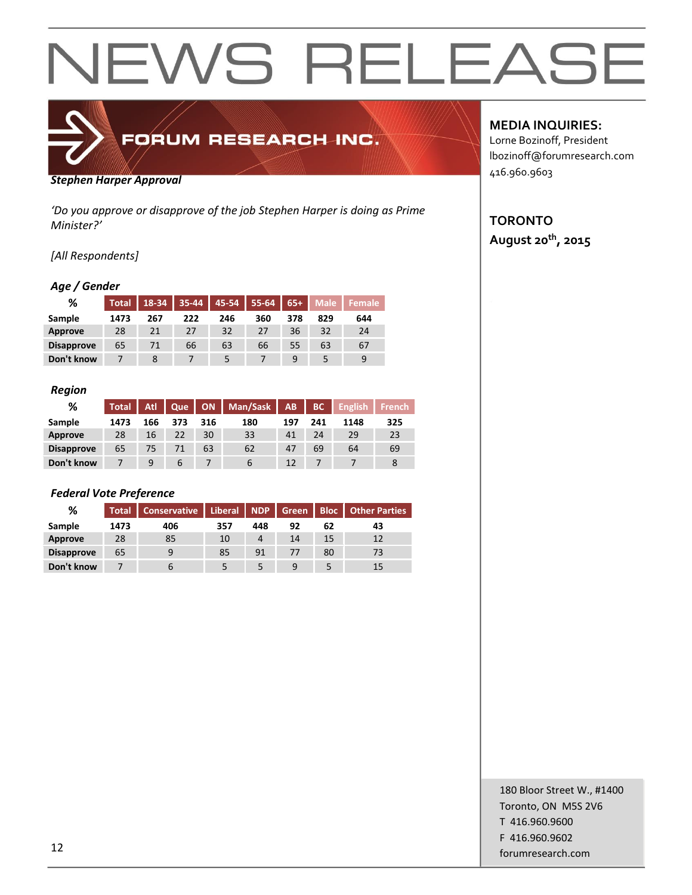

#### *Stephen Harper Approval*

*'Do you approve or disapprove of the job Stephen Harper is doing as Prime Minister?'*

#### *[All Respondents]*

#### *Age / Gender*

| %                 | <b>Total</b> | $18 - 34$ | $35 - 44$ | 45-54 | $55 - 64$ | $65+$ | <b>Male</b> | l Female <sup>1</sup> |
|-------------------|--------------|-----------|-----------|-------|-----------|-------|-------------|-----------------------|
| Sample            | 1473         | 267       | 222       | 246   | 360       | 378   | 829         | 644                   |
| Approve           | 28           | 21        | 27        | 32    | 27        | 36    | 32          | 24                    |
| <b>Disapprove</b> | 65           | 71        | 66        | 63    | 66        | 55    | 63          | 67                    |
| Don't know        |              |           |           |       |           | q     |             | 9                     |

#### *Region*

| %                 | <b>Total</b> | Atl. | Que           |     | ON   Man/Sask   AB |     | BC  | <b>English</b> | <b>French</b> |
|-------------------|--------------|------|---------------|-----|--------------------|-----|-----|----------------|---------------|
| Sample            | 1473         | 166  | 373           | 316 | 180                | 197 | 241 | 1148           | 325           |
| Approve           | 28           | 16   | 22            | 30  | 33                 | 41  | 24  | 29             | 23            |
| <b>Disapprove</b> | 65           | 75.  |               | 63  | 62                 | 47  | 69  | 64             | 69            |
| Don't know        |              | 9    | $\mathfrak b$ |     | b                  | 12  |     |                |               |

#### *Federal Vote Preference*

| %                 | <b>Total</b> | <b>Conservative</b> | Liberal   NDP |     | <b>Green</b> |    | <b>Bloc</b>   Other Parties |
|-------------------|--------------|---------------------|---------------|-----|--------------|----|-----------------------------|
| Sample            | 1473         | 406                 | 357           | 448 | 92           | 62 | 43                          |
| Approve           | 28           | 85                  | 10            | 4   | 14           | 15 | 12                          |
| <b>Disapprove</b> | 65           |                     | 85            | 91  |              | 80 | 73                          |
| Don't know        |              |                     |               |     |              |    | 15                          |

#### **MEDIA INQUIRIES:**

Lorne Bozinoff, President lbozinoff@forumresearch.com 416.960.9603

#### **TORONTO August 20th, 2015**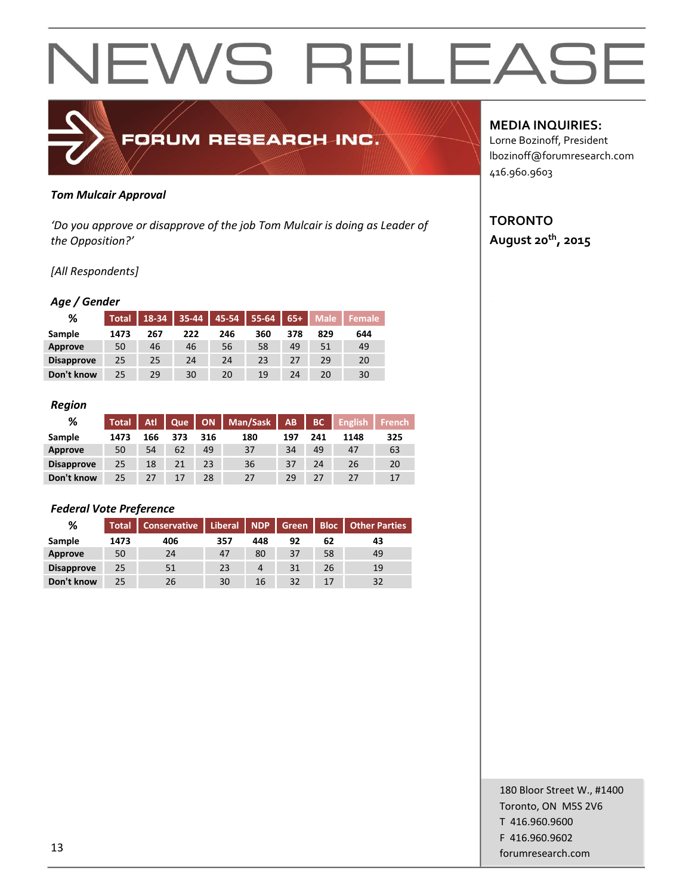

#### *Tom Mulcair Approval*

*'Do you approve or disapprove of the job Tom Mulcair is doing as Leader of the Opposition?'*

#### *[All Respondents]*

#### *Age / Gender*

| %                 | <b>Total</b> | 18-34 |     | $35-44$ 45-54 | $55-64$ | $65+$ | <b>Male</b> | <b>Female</b> |
|-------------------|--------------|-------|-----|---------------|---------|-------|-------------|---------------|
| Sample            | 1473         | 267   | 222 | 246           | 360     | 378   | 829         | 644           |
| Approve           | 50           | 46    | 46  | 56            | 58      | 49    | 51          | 49            |
| <b>Disapprove</b> | 25           | 25    | 24  | 24            | 23      | 27    | 29          | 20            |
| Don't know        | 25           | 29    | 30  | 20            | 19      | 24    | 20          | 30            |

#### *Region*

| %                 | <b>Total</b> | <b>Atl.</b> | <b>Que</b> |     | ON   Man/Sask   AB |     | BC  | $\blacksquare$ English | French |
|-------------------|--------------|-------------|------------|-----|--------------------|-----|-----|------------------------|--------|
| Sample            | 1473         | 166         | 373        | 316 | 180                | 197 | 241 | 1148                   | 325    |
| Approve           | 50           | 54          | 62         | 49  | 37                 | 34  | 49  | 47                     | 63     |
| <b>Disapprove</b> | 25           | 18          | 21         | 23  | 36                 | 37  | 24  | 26                     | 20     |
| Don't know        | 25           | 27          | 17         | 28  | 27                 | 29  | 27  | 27                     | 17     |

#### *Federal Vote Preference*

| %                 | <b>Total</b> | <b>Conservative</b> | Liberal   NDP |     | Green |    | <b>Bloc   Other Parties</b> |
|-------------------|--------------|---------------------|---------------|-----|-------|----|-----------------------------|
| Sample            | 1473         | 406                 | 357           | 448 | 92    | 62 | 43                          |
| Approve           | 50           | 24                  | 47            | 80  | 37    | 58 | 49                          |
| <b>Disapprove</b> | 25           | 51                  | 23            | 4   | 31    | 26 | 19                          |
| Don't know        | 25.          | 26                  | 30            | 16  | 32    | 17 | 32                          |

#### **MEDIA INQUIRIES:**

Lorne Bozinoff, President lbozinoff@forumresearch.com 416.960.9603

#### **TORONTO August 20th, 2015**

180 Bloor Street W., #1400 Toronto, ON M5S 2V6 T 416.960.9600 F 416.960.9602 forumresearch.com and the set of the set of the set of the set of the set of the set of the set of the set of the set of the set of the set of the set of the set of the set of the set of the set of the set of the set of th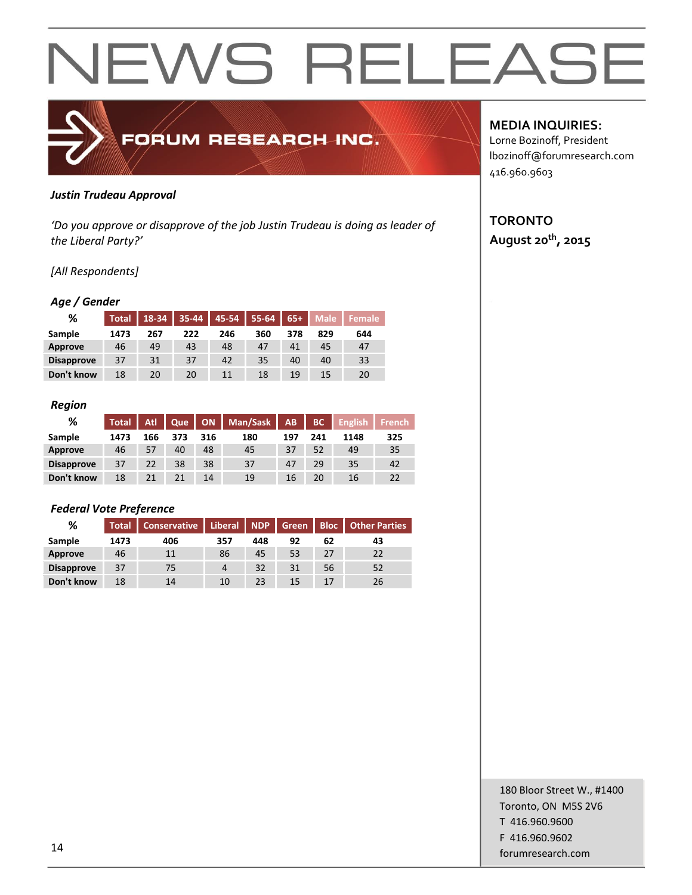

#### *Justin Trudeau Approval*

*'Do you approve or disapprove of the job Justin Trudeau is doing as leader of the Liberal Party?'*

#### *[All Respondents]*

#### *Age / Gender*

| %                 | <b>Total</b> | 18-34 |     | $35-44$   45-54 | $55-64$ | $65+$ | <b>Male</b> | <b>Female</b> |
|-------------------|--------------|-------|-----|-----------------|---------|-------|-------------|---------------|
| Sample            | 1473         | 267   | 222 | 246             | 360     | 378   | 829         | 644           |
| Approve           | 46           | 49    | 43  | 48              | 47      | 41    | 45          | 47            |
| <b>Disapprove</b> | 37           | 31    | 37  | 42              | 35      | 40    | 40          | 33            |
| Don't know        | 18           | 20    | 20  | 11              | 18      | 19    | 15          | 20            |

#### *Region*

| %                 | <b>Total</b> | <b>Atl</b> | <b>Que</b> |     | ON   Man/Sask | AB  | BC  | <b>English</b> | <b>French</b> |
|-------------------|--------------|------------|------------|-----|---------------|-----|-----|----------------|---------------|
| Sample            | 1473         | 166        | 373        | 316 | 180           | 197 | 241 | 1148           | 325           |
| Approve           | 46           | 57         | 40         | 48  | 45            | 37  | 52  | 49             | 35            |
| <b>Disapprove</b> | 37           | 22         | 38         | 38  | 37            | 47  | 29  | 35             | 42            |
| Don't know        | 18           |            |            | 14  | 19            | 16  | 20  | 16             | 22            |

#### *Federal Vote Preference*

| %                 | <b>Total</b> | <b>Conservative</b> | Liberal   NDP  |     | Green           |    | <b>Bloc   Other Parties</b> |
|-------------------|--------------|---------------------|----------------|-----|-----------------|----|-----------------------------|
| Sample            | 1473         | 406                 | 357            | 448 | 92              | 62 | 43                          |
| Approve           | 46           | 11                  | 86             | 45  | 53              | 27 | 22                          |
| <b>Disapprove</b> | 37           | 75                  | $\overline{4}$ | 32  | 31              | 56 | 52                          |
| Don't know        | 18           | 14                  | 10             | 23  | 15 <sub>1</sub> | 17 | 26                          |

#### **MEDIA INQUIRIES:**

Lorne Bozinoff, President lbozinoff@forumresearch.com 416.960.9603

#### **TORONTO August 20th, 2015**

180 Bloor Street W., #1400 Toronto, ON M5S 2V6 T 416.960.9600 F 416.960.9602 forumresearch.com and the set of the set of the set of the set of the set of the set of the set of the set of the set of the set of the set of the set of the set of the set of the set of the set of the set of the set of th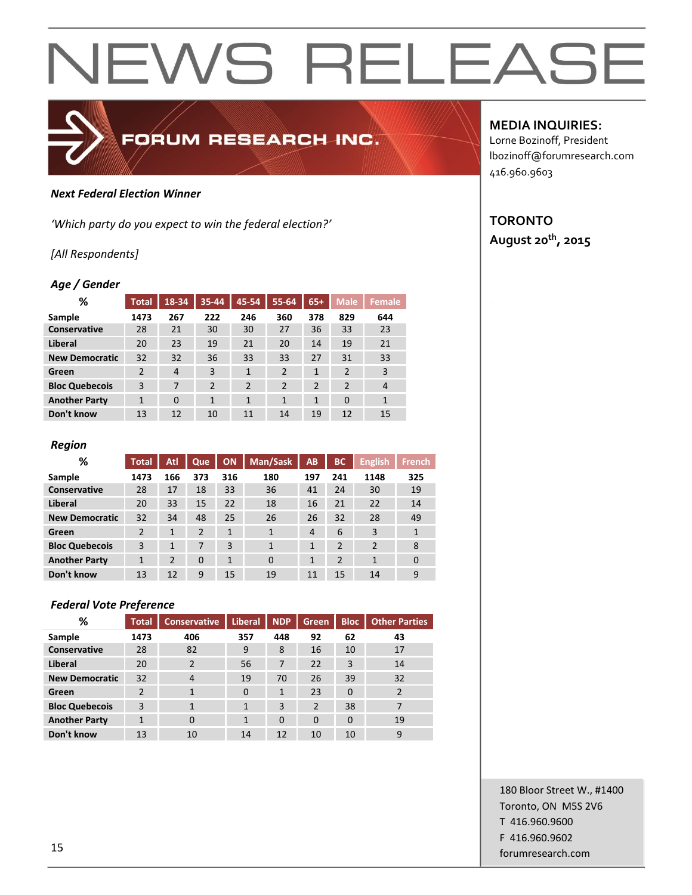#### *Next Federal Election Winner*

*'Which party do you expect to win the federal election?'*

#### *[All Respondents]*

#### *Age / Gender*

| %                     | <b>Total</b>   | 18-34          | 35-44          | 45-54          | 55-64          | $65+$          | Male <sub>1</sub> | <b>Female</b>  |
|-----------------------|----------------|----------------|----------------|----------------|----------------|----------------|-------------------|----------------|
| Sample                | 1473           | 267            | 222            | 246            | 360            | 378            | 829               | 644            |
| Conservative          | 28             | 21             | 30             | 30             | 27             | 36             | 33                | 23             |
| Liberal               | 20             | 23             | 19             | 21             | 20             | 14             | 19                | 21             |
| <b>New Democratic</b> | 32             | 32             | 36             | 33             | 33             | 27             | 31                | 33             |
| Green                 | $\overline{2}$ | $\overline{4}$ | 3              | $\mathbf{1}$   | $\overline{2}$ | $\mathbf{1}$   | $\overline{2}$    | 3              |
| <b>Bloc Quebecois</b> | 3              | 7              | $\overline{2}$ | $\overline{2}$ | $\overline{2}$ | $\overline{2}$ | $\overline{2}$    | $\overline{4}$ |
| <b>Another Party</b>  | $\mathbf{1}$   | $\Omega$       | 1              | $\mathbf{1}$   | 1              | 1              | $\Omega$          | $\mathbf{1}$   |
| Don't know            | 13             | 12             | 10             | 11             | 14             | 19             | 12                | 15             |

FORUM RESEARCH INC.

#### *Region*

| %                     | <b>Total</b>   | Atl            | Que            | <b>ON</b> | Man/Sask | AB  | <b>BC</b>      | <b>English</b> | <b>French</b> |
|-----------------------|----------------|----------------|----------------|-----------|----------|-----|----------------|----------------|---------------|
| Sample                | 1473           | 166            | 373            | 316       | 180      | 197 | 241            | 1148           | 325           |
| Conservative          | 28             | 17             | 18             | 33        | 36       | 41  | 24             | 30             | 19            |
| Liberal               | 20             | 33             | 15             | 22        | 18       | 16  | 21             | 22             | 14            |
| <b>New Democratic</b> | 32             | 34             | 48             | 25        | 26       | 26  | 32             | 28             | 49            |
| Green                 | $\overline{2}$ | 1              | $\overline{2}$ | 1         | 1        | 4   | 6              | 3              |               |
| <b>Bloc Quebecois</b> | 3              | 1              | 7              | 3         | 1        | 1   | $\overline{2}$ | $\overline{2}$ | 8             |
| <b>Another Party</b>  | $\mathbf{1}$   | $\overline{2}$ | $\Omega$       | 1         | $\Omega$ | 1   | $\overline{2}$ | 1              | $\Omega$      |
| Don't know            | 13             | 12             | 9              | 15        | 19       | 11  | 15             | 14             | 9             |

#### *Federal Vote Preference*

| %                     | <b>Total</b>   | <b>Conservative</b> | <b>Liberal</b> | <b>NDP</b>     | <b>Green</b>   | <b>Bloc</b> | <b>Other Parties</b> |
|-----------------------|----------------|---------------------|----------------|----------------|----------------|-------------|----------------------|
| Sample                | 1473           | 406                 | 357            | 448            | 92             | 62          | 43                   |
| <b>Conservative</b>   | 28             | 82                  | 9              | 8              | 16             | 10          | 17                   |
| <b>Liberal</b>        | 20             | $\overline{2}$      | 56             | 7              | 22             | 3           | 14                   |
| <b>New Democratic</b> | 32             | $\overline{4}$      | 19             | 70             | 26             | 39          | 32                   |
| Green                 | $\overline{2}$ | 1                   | $\mathbf 0$    | $\mathbf{1}$   | 23             | $\Omega$    | 2                    |
| <b>Bloc Quebecois</b> | 3              | 1                   | 1              | $\overline{3}$ | $\overline{2}$ | 38          | 7                    |
| <b>Another Party</b>  | 1              | $\Omega$            | $\mathbf{1}$   | $\Omega$       | $\Omega$       | $\Omega$    | 19                   |
| Don't know            | 13             | 10                  | 14             | 12             | 10             | 10          | 9                    |

#### **MEDIA INQUIRIES:**

Lorne Bozinoff, President lbozinoff@forumresearch.com 416.960.9603

#### **TORONTO August 20th, 2015**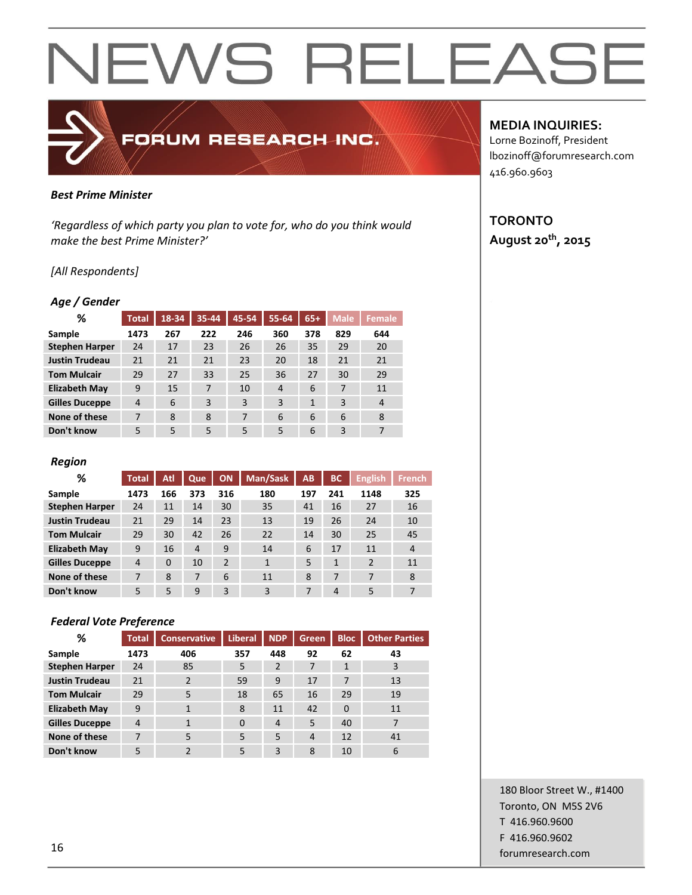### *Best Prime Minister*

*'Regardless of which party you plan to vote for, who do you think would make the best Prime Minister?'*

FORUM RESEARCH INC.

#### *[All Respondents]*

#### *Age / Gender*

| %                     | <b>Total</b>   | $18 - 34$ | 35-44 | 45-54 | 55-64          | $65+$ | <b>Male</b> | Female         |
|-----------------------|----------------|-----------|-------|-------|----------------|-------|-------------|----------------|
| Sample                | 1473           | 267       | 222   | 246   | 360            | 378   | 829         | 644            |
| <b>Stephen Harper</b> | 24             | 17        | 23    | 26    | 26             | 35    | 29          | 20             |
| <b>Justin Trudeau</b> | 21             | 21        | 21    | 23    | 20             | 18    | 21          | 21             |
| <b>Tom Mulcair</b>    | 29             | 27        | 33    | 25    | 36             | 27    | 30          | 29             |
| <b>Elizabeth May</b>  | 9              | 15        | 7     | 10    | $\overline{4}$ | 6     | 7           | 11             |
| <b>Gilles Duceppe</b> | $\overline{4}$ | 6         | 3     | 3     | 3              | 1     | 3           | $\overline{4}$ |
| None of these         | 7              | 8         | 8     | 7     | 6              | 6     | 6           | 8              |
| Don't know            | 5              | 5         | 5     | 5     | 5              | 6     | 3           | 7              |

#### *Region*

| %                     | <b>Total</b>   | Atl      | Que          | <b>ON</b>      | Man/Sask | AB  | ВC           | <b>English</b> | <b>French</b> |
|-----------------------|----------------|----------|--------------|----------------|----------|-----|--------------|----------------|---------------|
| Sample                | 1473           | 166      | 373          | 316            | 180      | 197 | 241          | 1148           | 325           |
| <b>Stephen Harper</b> | 24             | 11       | 14           | 30             | 35       | 41  | 16           | 27             | 16            |
| <b>Justin Trudeau</b> | 21             | 29       | 14           | 23             | 13       | 19  | 26           | 24             | 10            |
| <b>Tom Mulcair</b>    | 29             | 30       | 42           | 26             | 22       | 14  | 30           | 25             | 45            |
| <b>Elizabeth May</b>  | 9              | 16       | 4            | 9              | 14       | 6   | 17           | 11             | 4             |
| <b>Gilles Duceppe</b> | $\overline{4}$ | $\Omega$ | 10           | $\overline{2}$ | 1        | 5   | $\mathbf{1}$ | $\overline{2}$ | 11            |
| None of these         | 7              | 8        | 7            | 6              | 11       | 8   | 7            | 7              | 8             |
| Don't know            | 5              | 5        | $\mathbf{q}$ | 3              | 3        | 7   | 4            | 5              | 7             |

#### *Federal Vote Preference*

| %                     | <b>Total</b> | <b>Conservative</b> | Liberal  | <b>NDP</b>     | <b>Green</b>   | <b>Bloc</b> | <b>Other Parties</b> |
|-----------------------|--------------|---------------------|----------|----------------|----------------|-------------|----------------------|
| Sample                | 1473         | 406                 | 357      | 448            | 92             | 62          | 43                   |
| <b>Stephen Harper</b> | 24           | 85                  | 5        | $\overline{2}$ | 7              |             | 3                    |
| <b>Justin Trudeau</b> | 21           | $\mathfrak{p}$      | 59       | 9              | 17             |             | 13                   |
| <b>Tom Mulcair</b>    | 29           | 5                   | 18       | 65             | 16             | 29          | 19                   |
| <b>Elizabeth May</b>  | 9            | $\mathbf{1}$        | 8        | 11             | 42             | $\Omega$    | 11                   |
| <b>Gilles Duceppe</b> | 4            | 1                   | $\Omega$ | $\overline{4}$ | 5              | 40          | 7                    |
| None of these         | 7            | 5                   | 5        | 5              | $\overline{4}$ | 12          | 41                   |
| Don't know            | 5            | $\mathcal{P}$       | 5        | 3              | 8              | 10          | 6                    |

#### **MEDIA INQUIRIES:**

Lorne Bozinoff, President lbozinoff@forumresearch.com 416.960.9603

#### **TORONTO August 20th, 2015**

180 Bloor Street W., #1400 Toronto, ON M5S 2V6 T 416.960.9600 F 416.960.9602 **forumresearch.com** and the set of the set of the set of the set of the set of the set of the set of the set of the set of the set of the set of the set of the set of the set of the set of the set of the set of the set of